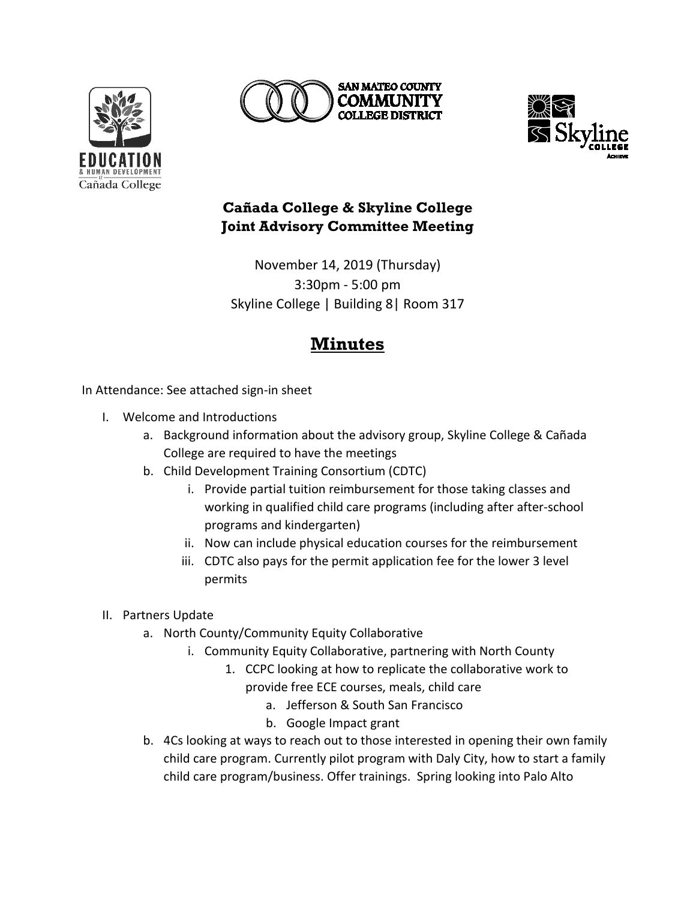





## **Cañada College & Skyline College Joint Advisory Committee Meeting**

November 14, 2019 (Thursday) 3:30pm - 5:00 pm Skyline College | Building 8| Room 317

## **Minutes**

In Attendance: See attached sign-in sheet

- I. Welcome and Introductions
	- a. Background information about the advisory group, Skyline College & Cañada College are required to have the meetings
	- b. Child Development Training Consortium (CDTC)
		- i. Provide partial tuition reimbursement for those taking classes and working in qualified child care programs (including after after-school programs and kindergarten)
		- ii. Now can include physical education courses for the reimbursement
		- iii. CDTC also pays for the permit application fee for the lower 3 level permits
- II. Partners Update
	- a. North County/Community Equity Collaborative
		- i. Community Equity Collaborative, partnering with North County
			- 1. CCPC looking at how to replicate the collaborative work to provide free ECE courses, meals, child care
				- a. Jefferson & South San Francisco
				- b. Google Impact grant
	- b. 4Cs looking at ways to reach out to those interested in opening their own family child care program. Currently pilot program with Daly City, how to start a family child care program/business. Offer trainings. Spring looking into Palo Alto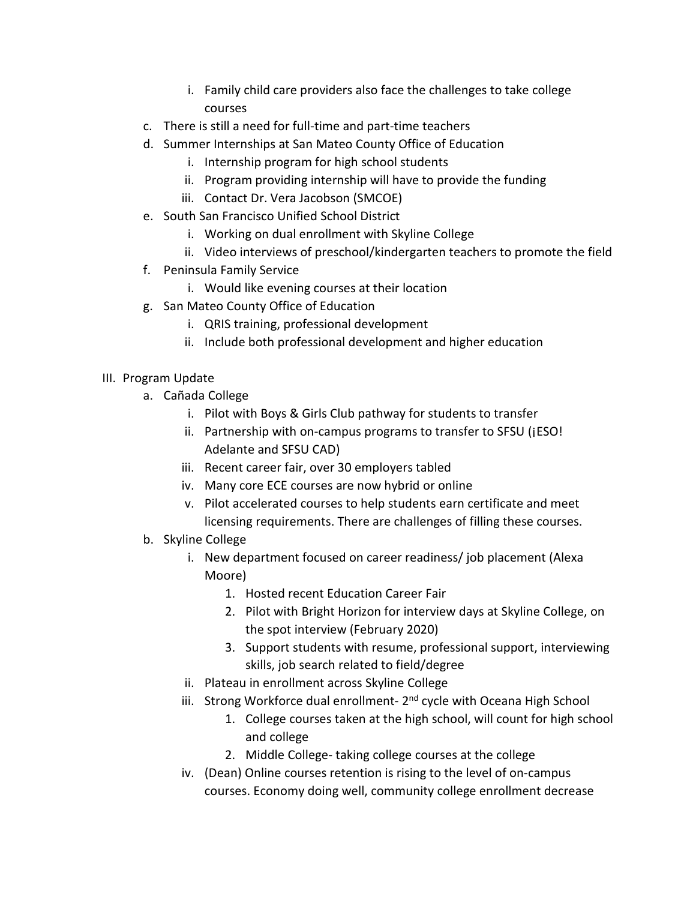- i. Family child care providers also face the challenges to take college courses
- c. There is still a need for full-time and part-time teachers
- d. Summer Internships at San Mateo County Office of Education
	- i. Internship program for high school students
	- ii. Program providing internship will have to provide the funding
	- iii. Contact Dr. Vera Jacobson (SMCOE)
- e. South San Francisco Unified School District
	- i. Working on dual enrollment with Skyline College
	- ii. Video interviews of preschool/kindergarten teachers to promote the field
- f. Peninsula Family Service
	- i. Would like evening courses at their location
- g. San Mateo County Office of Education
	- i. QRIS training, professional development
	- ii. Include both professional development and higher education
- III. Program Update
	- a. Cañada College
		- i. Pilot with Boys & Girls Club pathway for students to transfer
		- ii. Partnership with on-campus programs to transfer to SFSU (¡ESO! Adelante and SFSU CAD)
		- iii. Recent career fair, over 30 employers tabled
		- iv. Many core ECE courses are now hybrid or online
		- v. Pilot accelerated courses to help students earn certificate and meet licensing requirements. There are challenges of filling these courses.
	- b. Skyline College
		- i. New department focused on career readiness/ job placement (Alexa Moore)
			- 1. Hosted recent Education Career Fair
			- 2. Pilot with Bright Horizon for interview days at Skyline College, on the spot interview (February 2020)
			- 3. Support students with resume, professional support, interviewing skills, job search related to field/degree
		- ii. Plateau in enrollment across Skyline College
		- iii. Strong Workforce dual enrollment- 2<sup>nd</sup> cycle with Oceana High School
			- 1. College courses taken at the high school, will count for high school and college
			- 2. Middle College- taking college courses at the college
		- iv. (Dean) Online courses retention is rising to the level of on-campus courses. Economy doing well, community college enrollment decrease